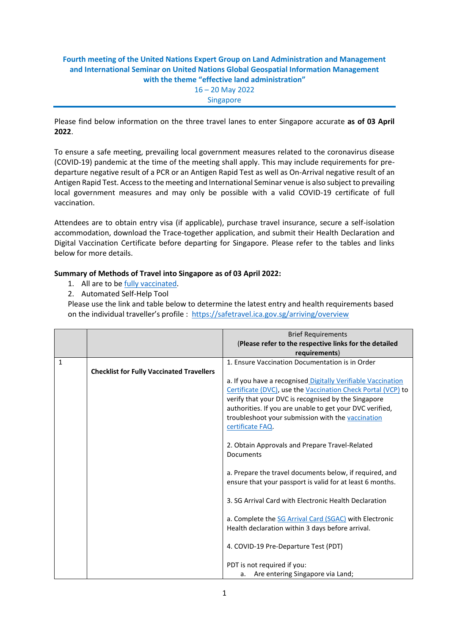## **Fourth meeting of the United Nations Expert Group on Land Administration and Management and International Seminar on United Nations Global Geospatial Information Management with the theme "effective land administration"** 16 – 20 May 2022 Singapore

Please find below information on the three travel lanes to enter Singapore accurate **as of 03 April 2022**.

To ensure a safe meeting, prevailing local government measures related to the coronavirus disease (COVID-19) pandemic at the time of the meeting shall apply. This may include requirements for predeparture negative result of a PCR or an Antigen Rapid Test as well as On-Arrival negative result of an Antigen Rapid Test. Access to the meeting and International Seminar venue is also subject to prevailing local government measures and may only be possible with a valid COVID-19 certificate of full vaccination.

Attendees are to obtain entry visa (if applicable), purchase travel insurance, secure a self-isolation accommodation, download the Trace-together application, and submit their Health Declaration and Digital Vaccination Certificate before departing for Singapore. Please refer to the tables and links below for more details.

## **Summary of Methods of Travel into Singapore as of 03 April 2022:**

- 1. All are to be fully [vaccinated.](https://safetravel.ica.gov.sg/health/vtsg)
- 2. Automated Self-Help Tool

Please use the link and table below to determine the latest entry and health requirements based on the individual traveller's profile : <https://safetravel.ica.gov.sg/arriving/overview>

|   |                                                  | <b>Brief Requirements</b><br>(Please refer to the respective links for the detailed |
|---|--------------------------------------------------|-------------------------------------------------------------------------------------|
|   |                                                  | requirements)                                                                       |
| 1 |                                                  | 1. Ensure Vaccination Documentation is in Order                                     |
|   | <b>Checklist for Fully Vaccinated Travellers</b> |                                                                                     |
|   |                                                  | a. If you have a recognised Digitally Verifiable Vaccination                        |
|   |                                                  | Certificate (DVC), use the Vaccination Check Portal (VCP) to                        |
|   |                                                  | verify that your DVC is recognised by the Singapore                                 |
|   |                                                  | authorities. If you are unable to get your DVC verified,                            |
|   |                                                  | troubleshoot your submission with the vaccination                                   |
|   |                                                  | certificate FAQ.                                                                    |
|   |                                                  | 2. Obtain Approvals and Prepare Travel-Related                                      |
|   |                                                  | Documents                                                                           |
|   |                                                  |                                                                                     |
|   |                                                  | a. Prepare the travel documents below, if required, and                             |
|   |                                                  | ensure that your passport is valid for at least 6 months.                           |
|   |                                                  |                                                                                     |
|   |                                                  | 3. SG Arrival Card with Electronic Health Declaration                               |
|   |                                                  |                                                                                     |
|   |                                                  | a. Complete the SG Arrival Card (SGAC) with Electronic                              |
|   |                                                  | Health declaration within 3 days before arrival.                                    |
|   |                                                  |                                                                                     |
|   |                                                  | 4. COVID-19 Pre-Departure Test (PDT)                                                |
|   |                                                  | PDT is not required if you:                                                         |
|   |                                                  | Are entering Singapore via Land;<br>а.                                              |
|   |                                                  |                                                                                     |